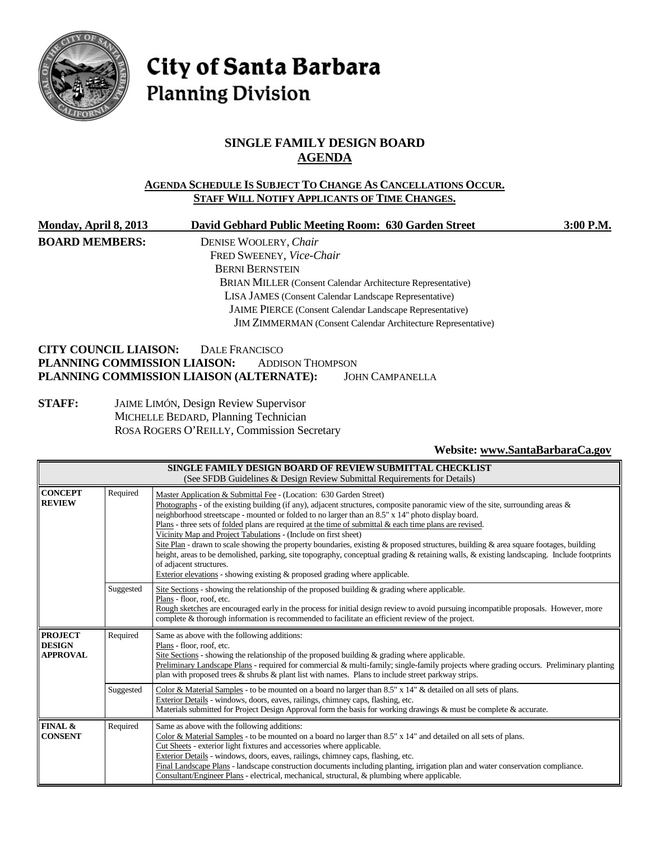

# City of Santa Barbara **Planning Division**

# **SINGLE FAMILY DESIGN BOARD AGENDA**

# **AGENDA SCHEDULE IS SUBJECT TO CHANGE AS CANCELLATIONS OCCUR. STAFF WILL NOTIFY APPLICANTS OF TIME CHANGES.**

| <b>Monday, April 8, 2013</b> | David Gebhard Public Meeting Room: 630 Garden Street                | 3:00 P.M. |
|------------------------------|---------------------------------------------------------------------|-----------|
| <b>BOARD MEMBERS:</b>        | DENISE WOOLERY, Chair                                               |           |
|                              | FRED SWEENEY, Vice-Chair                                            |           |
|                              | <b>BERNI BERNSTEIN</b>                                              |           |
|                              | <b>BRIAN MILLER</b> (Consent Calendar Architecture Representative)  |           |
|                              | LISA JAMES (Consent Calendar Landscape Representative)              |           |
|                              | <b>JAIME PIERCE</b> (Consent Calendar Landscape Representative)     |           |
|                              | <b>JIM ZIMMERMAN</b> (Consent Calendar Architecture Representative) |           |
| <b>CITY COUNCIL LIAISON:</b> | DALE FRANCISCO                                                      |           |
| PLANNING COMMISSION LIAISON: | <b>ADDISON THOMPSON</b>                                             |           |

# **PLANNING COMMISSION LIAISON (ALTERNATE):** JOHN CAMPANELLA **STAFF:** JAIME LIMÓN, Design Review Supervisor MICHELLE BEDARD, Planning Technician

ROSA ROGERS O'REILLY, Commission Secretary

# **Website: [www.SantaBarbaraCa.gov](http://www.santabarbaraca.gov/)**

| SINGLE FAMILY DESIGN BOARD OF REVIEW SUBMITTAL CHECKLIST<br>(See SFDB Guidelines & Design Review Submittal Requirements for Details)       |           |                                                                                                                                                                                                                                                                                                                                                                                                                                                                                                                                                                                                                                                                                                                                                                                                                                                                                                           |  |
|--------------------------------------------------------------------------------------------------------------------------------------------|-----------|-----------------------------------------------------------------------------------------------------------------------------------------------------------------------------------------------------------------------------------------------------------------------------------------------------------------------------------------------------------------------------------------------------------------------------------------------------------------------------------------------------------------------------------------------------------------------------------------------------------------------------------------------------------------------------------------------------------------------------------------------------------------------------------------------------------------------------------------------------------------------------------------------------------|--|
| <b>CONCEPT</b><br><b>REVIEW</b>                                                                                                            | Required  | Master Application & Submittal Fee - (Location: 630 Garden Street)<br>Photographs - of the existing building (if any), adjacent structures, composite panoramic view of the site, surrounding areas $\&$<br>neighborhood streetscape - mounted or folded to no larger than an 8.5" x 14" photo display board.<br>Plans - three sets of <u>folded</u> plans are required at the time of submittal $\&$ each time plans are revised.<br>Vicinity Map and Project Tabulations - (Include on first sheet)<br>Site Plan - drawn to scale showing the property boundaries, existing & proposed structures, building & area square footages, building<br>height, areas to be demolished, parking, site topography, conceptual grading & retaining walls, & existing landscaping. Include footprints<br>of adjacent structures.<br>Exterior elevations - showing existing $\&$ proposed grading where applicable. |  |
|                                                                                                                                            | Suggested | Site Sections - showing the relationship of the proposed building $\&$ grading where applicable.<br>Plans - floor, roof, etc.<br>Rough sketches are encouraged early in the process for initial design review to avoid pursuing incompatible proposals. However, more<br>complete & thorough information is recommended to facilitate an efficient review of the project.                                                                                                                                                                                                                                                                                                                                                                                                                                                                                                                                 |  |
| <b>PROJECT</b><br>Required<br>Same as above with the following additions:<br><b>DESIGN</b><br>Plans - floor, roof, etc.<br><b>APPROVAL</b> |           | Site Sections - showing the relationship of the proposed building $\&$ grading where applicable.<br>Preliminary Landscape Plans - required for commercial & multi-family; single-family projects where grading occurs. Preliminary planting<br>plan with proposed trees $\&$ shrubs $\&$ plant list with names. Plans to include street parkway strips.                                                                                                                                                                                                                                                                                                                                                                                                                                                                                                                                                   |  |
|                                                                                                                                            | Suggested | Color & Material Samples - to be mounted on a board no larger than 8.5" x 14" & detailed on all sets of plans.<br>Exterior Details - windows, doors, eaves, railings, chimney caps, flashing, etc.<br>Materials submitted for Project Design Approval form the basis for working drawings & must be complete & accurate.                                                                                                                                                                                                                                                                                                                                                                                                                                                                                                                                                                                  |  |
| FINAL &<br><b>CONSENT</b>                                                                                                                  | Required  | Same as above with the following additions:<br>Color & Material Samples - to be mounted on a board no larger than $8.5" \times 14"$ and detailed on all sets of plans.<br>Cut Sheets - exterior light fixtures and accessories where applicable.<br>Exterior Details - windows, doors, eaves, railings, chimney caps, flashing, etc.<br>Final Landscape Plans - landscape construction documents including planting, irrigation plan and water conservation compliance.<br>Consultant/Engineer Plans - electrical, mechanical, structural, & plumbing where applicable.                                                                                                                                                                                                                                                                                                                                   |  |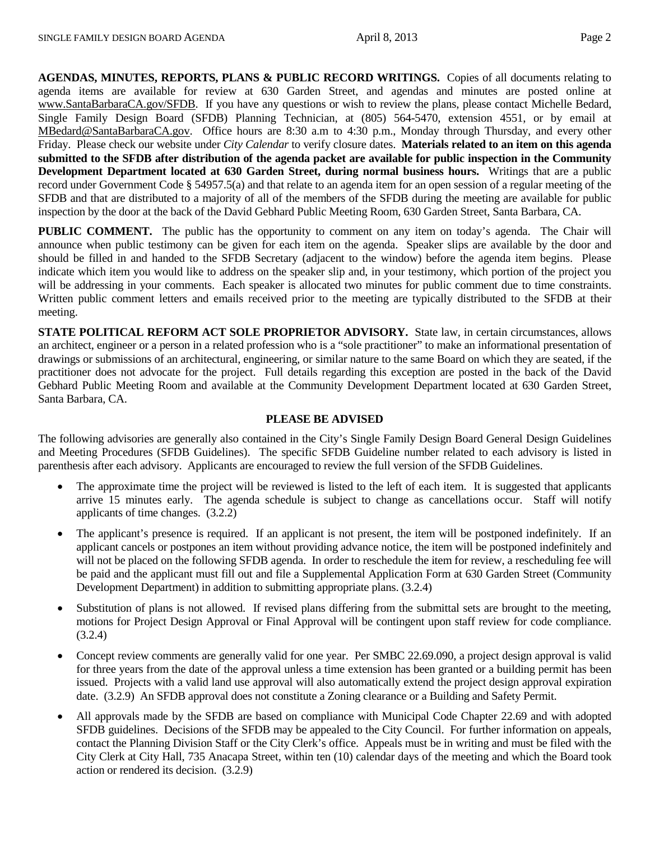**AGENDAS, MINUTES, REPORTS, PLANS & PUBLIC RECORD WRITINGS.** Copies of all documents relating to agenda items are available for review at 630 Garden Street, and agendas and minutes are posted online at [www.SantaBarbaraCA.gov/SFDB.](http://www.santabarbaraca.gov/ABR) If you have any questions or wish to review the plans, please contact Michelle Bedard, Single Family Design Board (SFDB) Planning Technician, at (805) 564-5470, extension 4551, or by email at [MBedard@SantaBarbaraCA.gov.](mailto:MBedard@SantaBarbaraCA.gov) Office hours are 8:30 a.m to 4:30 p.m., Monday through Thursday, and every other Friday. Please check our website under *City Calendar* to verify closure dates. **Materials related to an item on this agenda submitted to the SFDB after distribution of the agenda packet are available for public inspection in the Community Development Department located at 630 Garden Street, during normal business hours.** Writings that are a public record under Government Code § 54957.5(a) and that relate to an agenda item for an open session of a regular meeting of the SFDB and that are distributed to a majority of all of the members of the SFDB during the meeting are available for public inspection by the door at the back of the David Gebhard Public Meeting Room, 630 Garden Street, Santa Barbara, CA.

**PUBLIC COMMENT.** The public has the opportunity to comment on any item on today's agenda. The Chair will announce when public testimony can be given for each item on the agenda. Speaker slips are available by the door and should be filled in and handed to the SFDB Secretary (adjacent to the window) before the agenda item begins. Please indicate which item you would like to address on the speaker slip and, in your testimony, which portion of the project you will be addressing in your comments. Each speaker is allocated two minutes for public comment due to time constraints. Written public comment letters and emails received prior to the meeting are typically distributed to the SFDB at their meeting.

**STATE POLITICAL REFORM ACT SOLE PROPRIETOR ADVISORY.** State law, in certain circumstances, allows an architect, engineer or a person in a related profession who is a "sole practitioner" to make an informational presentation of drawings or submissions of an architectural, engineering, or similar nature to the same Board on which they are seated, if the practitioner does not advocate for the project. Full details regarding this exception are posted in the back of the David Gebhard Public Meeting Room and available at the Community Development Department located at 630 Garden Street, Santa Barbara, CA.

### **PLEASE BE ADVISED**

The following advisories are generally also contained in the City's Single Family Design Board General Design Guidelines and Meeting Procedures (SFDB Guidelines). The specific SFDB Guideline number related to each advisory is listed in parenthesis after each advisory. Applicants are encouraged to review the full version of the SFDB Guidelines.

- The approximate time the project will be reviewed is listed to the left of each item. It is suggested that applicants arrive 15 minutes early. The agenda schedule is subject to change as cancellations occur. Staff will notify applicants of time changes. (3.2.2)
- The applicant's presence is required. If an applicant is not present, the item will be postponed indefinitely. If an applicant cancels or postpones an item without providing advance notice, the item will be postponed indefinitely and will not be placed on the following SFDB agenda. In order to reschedule the item for review, a rescheduling fee will be paid and the applicant must fill out and file a Supplemental Application Form at 630 Garden Street (Community Development Department) in addition to submitting appropriate plans. (3.2.4)
- Substitution of plans is not allowed. If revised plans differing from the submittal sets are brought to the meeting, motions for Project Design Approval or Final Approval will be contingent upon staff review for code compliance. (3.2.4)
- Concept review comments are generally valid for one year. Per SMBC 22.69.090, a project design approval is valid for three years from the date of the approval unless a time extension has been granted or a building permit has been issued. Projects with a valid land use approval will also automatically extend the project design approval expiration date. (3.2.9) An SFDB approval does not constitute a Zoning clearance or a Building and Safety Permit.
- All approvals made by the SFDB are based on compliance with Municipal Code Chapter 22.69 and with adopted SFDB guidelines. Decisions of the SFDB may be appealed to the City Council. For further information on appeals, contact the Planning Division Staff or the City Clerk's office. Appeals must be in writing and must be filed with the City Clerk at City Hall, 735 Anacapa Street, within ten (10) calendar days of the meeting and which the Board took action or rendered its decision. (3.2.9)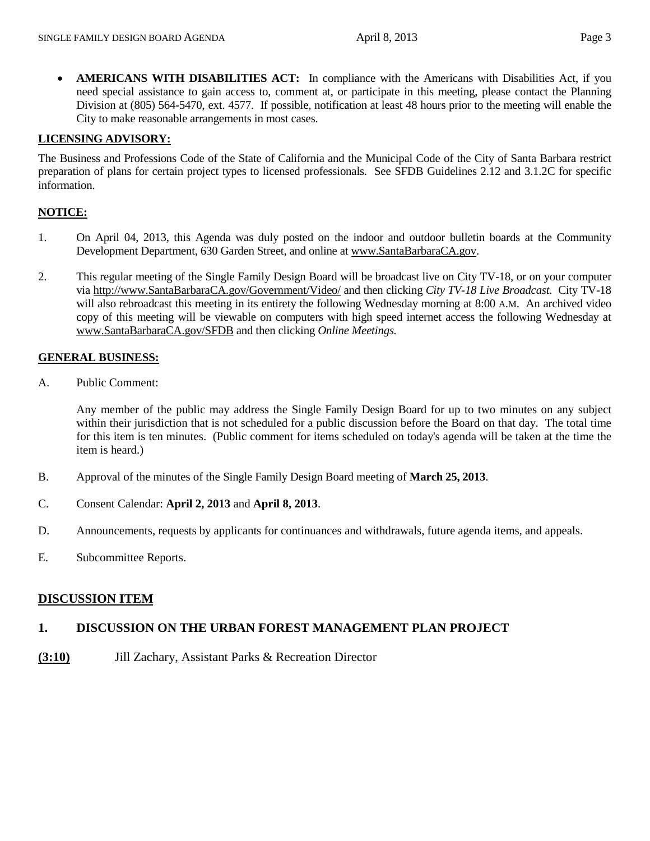• **AMERICANS WITH DISABILITIES ACT:** In compliance with the Americans with Disabilities Act, if you need special assistance to gain access to, comment at, or participate in this meeting, please contact the Planning Division at (805) 564-5470, ext. 4577. If possible, notification at least 48 hours prior to the meeting will enable the City to make reasonable arrangements in most cases.

### **LICENSING ADVISORY:**

The Business and Professions Code of the State of California and the Municipal Code of the City of Santa Barbara restrict preparation of plans for certain project types to licensed professionals. See SFDB Guidelines 2.12 and 3.1.2C for specific information.

### **NOTICE:**

- 1. On April 04, 2013, this Agenda was duly posted on the indoor and outdoor bulletin boards at the Community Development Department, 630 Garden Street, and online at [www.SantaBarbaraCA.gov.](http://www.santabarbaraca.gov/)
- 2. This regular meeting of the Single Family Design Board will be broadcast live on City TV-18, or on your computer via [http://www.SantaBarbaraCA.gov/Government/Video/](http://www.santabarbaraca.gov/Government/Video/) and then clicking *City TV-18 Live Broadcast*. City TV-18 will also rebroadcast this meeting in its entirety the following Wednesday morning at 8:00 A.M. An archived video copy of this meeting will be viewable on computers with high speed internet access the following Wednesday at [www.SantaBarbaraCA.gov/SFDB](http://www.santabarbaraca.gov/SFDB) and then clicking *Online Meetings.*

### **GENERAL BUSINESS:**

A. Public Comment:

Any member of the public may address the Single Family Design Board for up to two minutes on any subject within their jurisdiction that is not scheduled for a public discussion before the Board on that day. The total time for this item is ten minutes. (Public comment for items scheduled on today's agenda will be taken at the time the item is heard.)

- B. Approval of the minutes of the Single Family Design Board meeting of **March 25, 2013**.
- C. Consent Calendar: **April 2, 2013** and **April 8, 2013**.
- D. Announcements, requests by applicants for continuances and withdrawals, future agenda items, and appeals.
- E. Subcommittee Reports.

# **DISCUSSION ITEM**

# **1. DISCUSSION ON THE URBAN FOREST MANAGEMENT PLAN PROJECT**

**(3:10)** Jill Zachary, Assistant Parks & Recreation Director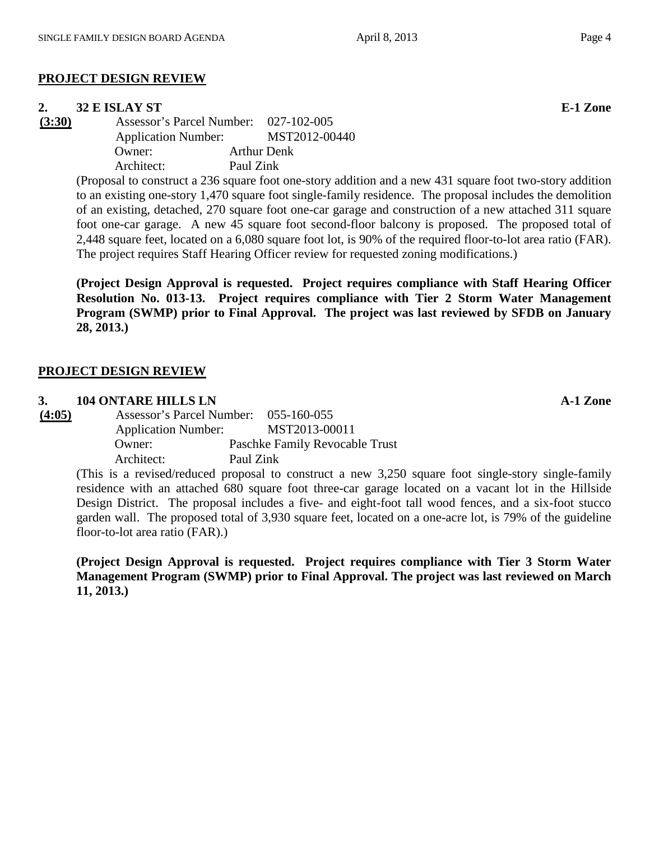# **PROJECT DESIGN REVIEW**

**2. 32 E ISLAY ST**<br> **(3:30) Assessor's Parcel Number:** 027-102-005 **(3:30)** Assessor's Parcel Number: 027-102-005 Application Number: MST2012-00440 Owner: Arthur Denk Architect: Paul Zink

(Proposal to construct a 236 square foot one-story addition and a new 431 square foot two-story addition to an existing one-story 1,470 square foot single-family residence. The proposal includes the demolition of an existing, detached, 270 square foot one-car garage and construction of a new attached 311 square foot one-car garage. A new 45 square foot second-floor balcony is proposed. The proposed total of 2,448 square feet, located on a 6,080 square foot lot, is 90% of the required floor-to-lot area ratio (FAR). The project requires Staff Hearing Officer review for requested zoning modifications.)

**(Project Design Approval is requested. Project requires compliance with Staff Hearing Officer Resolution No. 013-13. Project requires compliance with Tier 2 Storm Water Management Program (SWMP) prior to Final Approval. The project was last reviewed by SFDB on January 28, 2013.)**

# **PROJECT DESIGN REVIEW**

# **3. 104 ONTARE HILLS LN A-1 Zone**

**(4:05)** Assessor's Parcel Number: 055-160-055 Application Number: MST2013-00011 Owner: Paschke Family Revocable Trust Architect: Paul Zink

(This is a revised/reduced proposal to construct a new 3,250 square foot single-story single-family residence with an attached 680 square foot three-car garage located on a vacant lot in the Hillside Design District. The proposal includes a five- and eight-foot tall wood fences, and a six-foot stucco garden wall. The proposed total of 3,930 square feet, located on a one-acre lot, is 79% of the guideline floor-to-lot area ratio (FAR).)

**(Project Design Approval is requested. Project requires compliance with Tier 3 Storm Water Management Program (SWMP) prior to Final Approval. The project was last reviewed on March 11, 2013.)**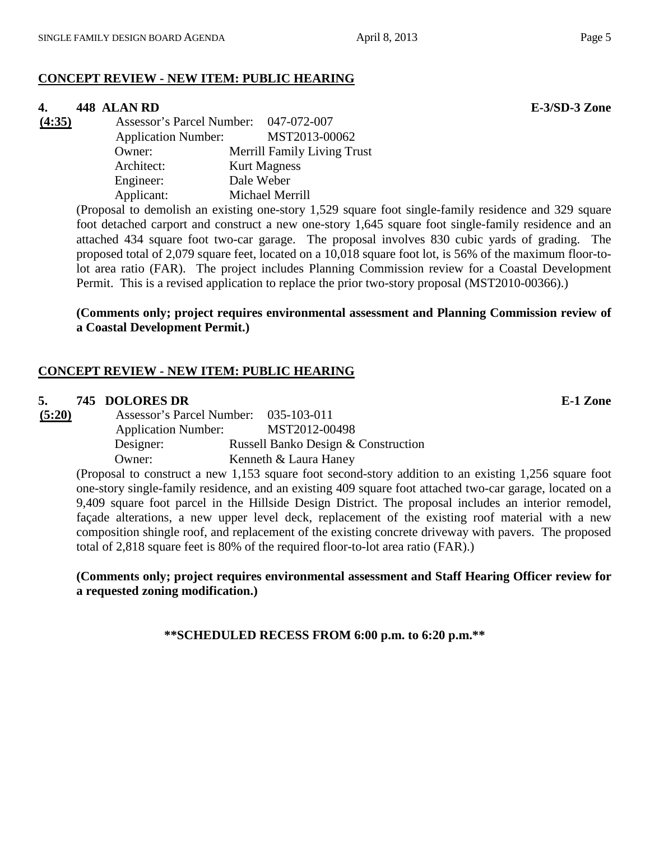# **CONCEPT REVIEW - NEW ITEM: PUBLIC HEARING**

### **4. 448 ALAN RD E-3/SD-3 Zone**

| (4:35) | Assessor's Parcel Number: 047-072-007 |            |                                    |
|--------|---------------------------------------|------------|------------------------------------|
|        | <b>Application Number:</b>            |            | MST2013-00062                      |
|        | Owner:                                |            | <b>Merrill Family Living Trust</b> |
|        | Architect:                            |            | <b>Kurt Magness</b>                |
|        | Engineer:                             | Dale Weber |                                    |
|        | Applicant:                            |            | Michael Merrill                    |

(Proposal to demolish an existing one-story 1,529 square foot single-family residence and 329 square foot detached carport and construct a new one-story 1,645 square foot single-family residence and an attached 434 square foot two-car garage. The proposal involves 830 cubic yards of grading. The proposed total of 2,079 square feet, located on a 10,018 square foot lot, is 56% of the maximum floor-tolot area ratio (FAR). The project includes Planning Commission review for a Coastal Development Permit. This is a revised application to replace the prior two-story proposal (MST2010-00366).)

**(Comments only; project requires environmental assessment and Planning Commission review of a Coastal Development Permit.)**

# **CONCEPT REVIEW - NEW ITEM: PUBLIC HEARING**

### **5. 745 DOLORES DR E-1 Zone**

| (5:20) | Assessor's Parcel Number: 035-103-011 |                                     |
|--------|---------------------------------------|-------------------------------------|
|        | <b>Application Number:</b>            | MST2012-00498                       |
|        | Designer:                             | Russell Banko Design & Construction |
|        | Owner:                                | Kenneth & Laura Haney               |
|        |                                       |                                     |

(Proposal to construct a new 1,153 square foot second-story addition to an existing 1,256 square foot one-story single-family residence, and an existing 409 square foot attached two-car garage, located on a 9,409 square foot parcel in the Hillside Design District. The proposal includes an interior remodel, façade alterations, a new upper level deck, replacement of the existing roof material with a new composition shingle roof, and replacement of the existing concrete driveway with pavers. The proposed total of 2,818 square feet is 80% of the required floor-to-lot area ratio (FAR).)

**(Comments only; project requires environmental assessment and Staff Hearing Officer review for a requested zoning modification.)**

**\*\*SCHEDULED RECESS FROM 6:00 p.m. to 6:20 p.m.\*\***